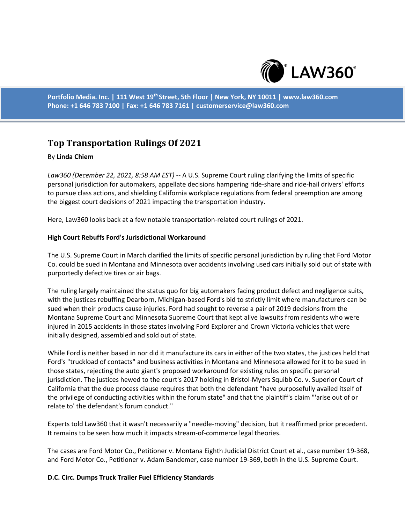

**Portfolio Media. Inc. | 111 West 19th Street, 5th Floor | New York, NY 10011 | www.law360.com Phone: +1 646 783 7100 | Fax: +1 646 783 7161 | customerservice@law360.com**

# **Top Transportation Rulings Of 2021**

# By **Linda Chiem**

*Law360 (December 22, 2021, 8:58 AM EST)* -- A U.S. Supreme Court ruling clarifying the limits of specific personal jurisdiction for automakers, appellate decisions hampering ride-share and ride-hail drivers' efforts to pursue class actions, and shielding California workplace regulations from federal preemption are among the biggest court decisions of 2021 impacting the transportation industry.

Here, Law360 looks back at a few notable transportation-related court rulings of 2021.

# **High Court Rebuffs Ford's Jurisdictional Workaround**

The U.S. Supreme Court in March clarified the limits of specific personal jurisdiction by ruling that Ford Motor Co. could be sued in Montana and Minnesota over accidents involving used cars initially sold out of state with purportedly defective tires or air bags.

The ruling largely maintained the status quo for big automakers facing product defect and negligence suits, with the justices rebuffing Dearborn, Michigan-based Ford's bid to strictly limit where manufacturers can be sued when their products cause injuries. Ford had sought to reverse a pair of 2019 decisions from the Montana Supreme Court and Minnesota Supreme Court that kept alive lawsuits from residents who were injured in 2015 accidents in those states involving Ford Explorer and Crown Victoria vehicles that were initially designed, assembled and sold out of state.

While Ford is neither based in nor did it manufacture its cars in either of the two states, the justices held that Ford's "truckload of contacts" and business activities in Montana and Minnesota allowed for it to be sued in those states, rejecting the auto giant's proposed workaround for existing rules on specific personal jurisdiction. The justices hewed to the court's 2017 holding in Bristol-Myers Squibb Co. v. Superior Court of California that the due process clause requires that both the defendant "have purposefully availed itself of the privilege of conducting activities within the forum state" and that the plaintiff's claim "'arise out of or relate to' the defendant's forum conduct."

Experts told Law360 that it wasn't necessarily a "needle-moving" decision, but it reaffirmed prior precedent. It remains to be seen how much it impacts stream-of-commerce legal theories.

The cases are Ford Motor Co., Petitioner v. Montana Eighth Judicial District Court et al., case number 19-368, and Ford Motor Co., Petitioner v. Adam Bandemer, case number 19-369, both in the U.S. Supreme Court.

### **D.C. Circ. Dumps Truck Trailer Fuel Efficiency Standards**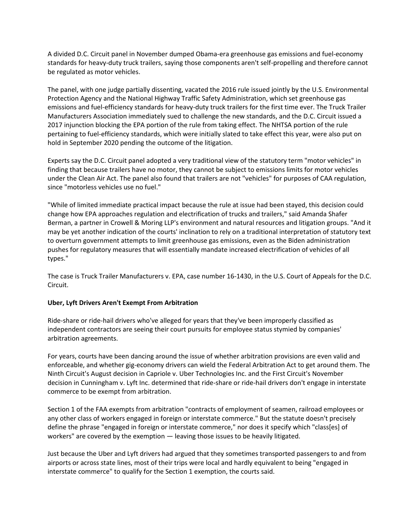A divided D.C. Circuit panel in November dumped Obama-era greenhouse gas emissions and fuel-economy standards for heavy-duty truck trailers, saying those components aren't self-propelling and therefore cannot be regulated as motor vehicles.

The panel, with one judge partially dissenting, vacated the 2016 rule issued jointly by the U.S. Environmental Protection Agency and the National Highway Traffic Safety Administration, which set greenhouse gas emissions and fuel-efficiency standards for heavy-duty truck trailers for the first time ever. The Truck Trailer Manufacturers Association immediately sued to challenge the new standards, and the D.C. Circuit issued a 2017 injunction blocking the EPA portion of the rule from taking effect. The NHTSA portion of the rule pertaining to fuel-efficiency standards, which were initially slated to take effect this year, were also put on hold in September 2020 pending the outcome of the litigation.

Experts say the D.C. Circuit panel adopted a very traditional view of the statutory term "motor vehicles" in finding that because trailers have no motor, they cannot be subject to emissions limits for motor vehicles under the Clean Air Act. The panel also found that trailers are not "vehicles" for purposes of CAA regulation, since "motorless vehicles use no fuel."

"While of limited immediate practical impact because the rule at issue had been stayed, this decision could change how EPA approaches regulation and electrification of trucks and trailers," said Amanda Shafer Berman, a partner in Crowell & Moring LLP's environment and natural resources and litigation groups. "And it may be yet another indication of the courts' inclination to rely on a traditional interpretation of statutory text to overturn government attempts to limit greenhouse gas emissions, even as the Biden administration pushes for regulatory measures that will essentially mandate increased electrification of vehicles of all types."

The case is Truck Trailer Manufacturers v. EPA, case number 16-1430, in the U.S. Court of Appeals for the D.C. Circuit.

### **Uber, Lyft Drivers Aren't Exempt From Arbitration**

Ride-share or ride-hail drivers who've alleged for years that they've been improperly classified as independent contractors are seeing their court pursuits for employee status stymied by companies' arbitration agreements.

For years, courts have been dancing around the issue of whether arbitration provisions are even valid and enforceable, and whether gig-economy drivers can wield the Federal Arbitration Act to get around them. The Ninth Circuit's August decision in Capriole v. Uber Technologies Inc. and the First Circuit's November decision in Cunningham v. Lyft Inc. determined that ride-share or ride-hail drivers don't engage in interstate commerce to be exempt from arbitration.

Section 1 of the FAA exempts from arbitration "contracts of employment of seamen, railroad employees or any other class of workers engaged in foreign or interstate commerce." But the statute doesn't precisely define the phrase "engaged in foreign or interstate commerce," nor does it specify which "class[es] of workers" are covered by the exemption — leaving those issues to be heavily litigated.

Just because the Uber and Lyft drivers had argued that they sometimes transported passengers to and from airports or across state lines, most of their trips were local and hardly equivalent to being "engaged in interstate commerce" to qualify for the Section 1 exemption, the courts said.